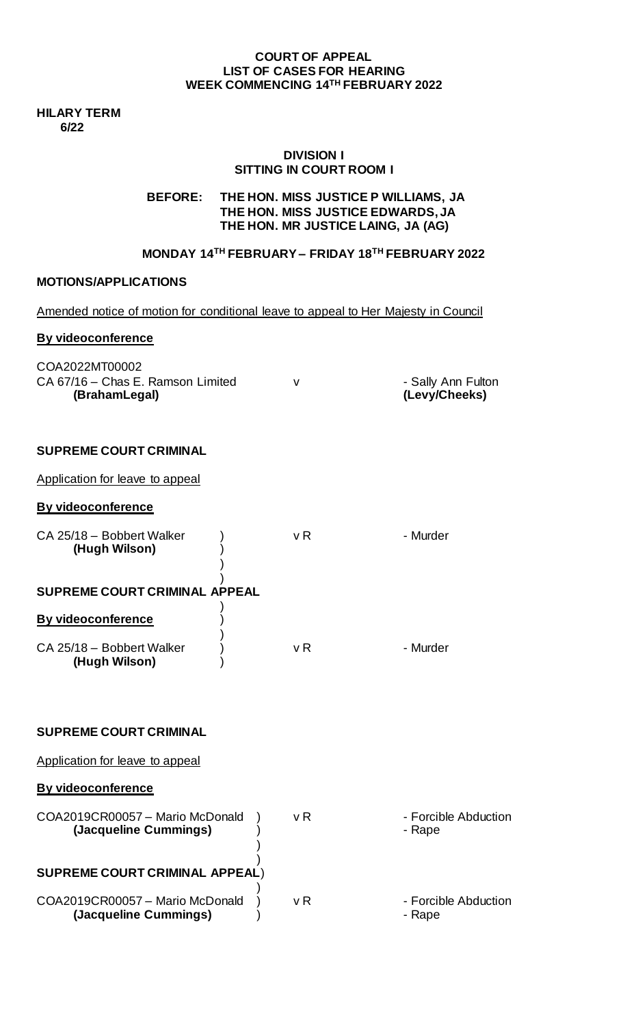#### **COURT OF APPEAL LIST OF CASES FOR HEARING WEEK COMMENCING 14TH FEBRUARY 2022**

**HILARY TERM 6/22**

## **DIVISION I SITTING IN COURT ROOM I**

## **BEFORE: THE HON. MISS JUSTICE P WILLIAMS, JA THE HON. MISS JUSTICE EDWARDS, JA THE HON. MR JUSTICE LAING, JA (AG)**

# **MONDAY 14TH FEBRUARY – FRIDAY 18TH FEBRUARY 2022**

## **MOTIONS/APPLICATIONS**

| Amended notice of motion for conditional leave to appeal to Her Majesty in Council |  |  |
|------------------------------------------------------------------------------------|--|--|
|                                                                                    |  |  |
|                                                                                    |  |  |

### **By videoconference**

| COA2022MT00002<br>CA 67/16 - Chas E. Ramson Limited | - Sally Ann Fulton |
|-----------------------------------------------------|--------------------|
| (BrahamLegal)                                       | (Levy/Cheeks)      |

## **SUPREME COURT CRIMINAL**

Application for leave to appeal

## **By videoconference**

| CA 25/18 - Bobbert Walker<br>(Hugh Wilson) | v R | - Murder |
|--------------------------------------------|-----|----------|
| <b>SUPREME COURT CRIMINAL APPEAL</b>       |     |          |
| By videoconference                         |     |          |
| CA 25/18 - Bobbert Walker<br>(Hugh Wilson) | v R | - Murder |

#### **SUPREME COURT CRIMINAL**

Application for leave to appeal

### **By videoconference**

| COA2019CR00057 - Mario McDonald<br>(Jacqueline Cummings) | v R | - Forcible Abduction<br>- Rape |
|----------------------------------------------------------|-----|--------------------------------|
| <b>SUPREME COURT CRIMINAL APPEAL)</b>                    |     |                                |
| COA2019CR00057 - Mario McDonald<br>(Jacqueline Cummings) | v R | - Forcible Abduction<br>- Rape |